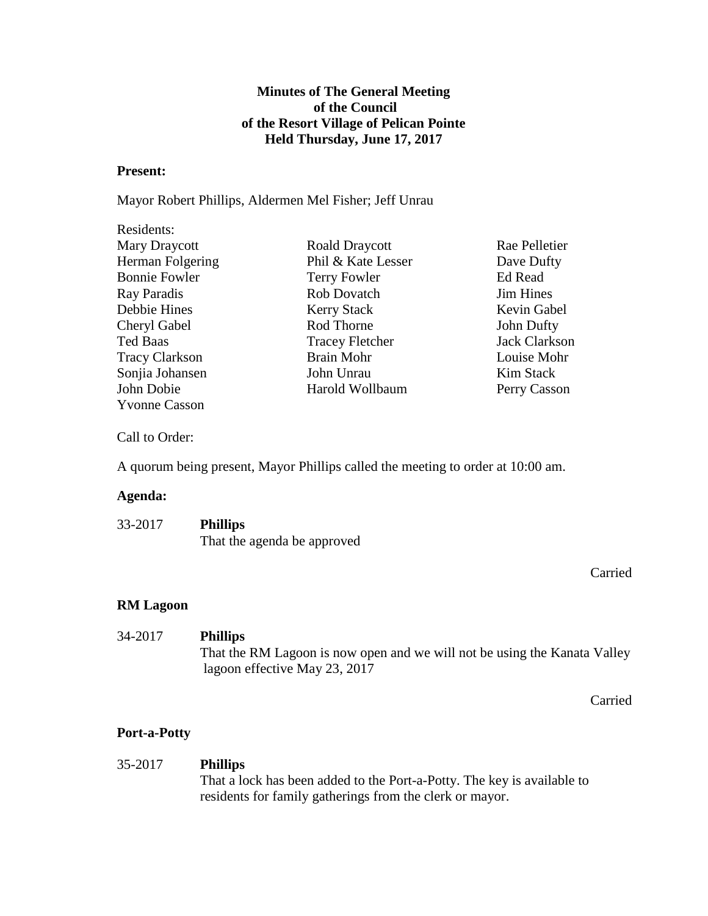## **Minutes of The General Meeting of the Council of the Resort Village of Pelican Pointe Held Thursday, June 17, 2017**

#### **Present:**

Mayor Robert Phillips, Aldermen Mel Fisher; Jeff Unrau

| Residents:            |                        |                      |
|-----------------------|------------------------|----------------------|
| Mary Draycott         | <b>Roald Draycott</b>  | Rae Pelletier        |
| Herman Folgering      | Phil & Kate Lesser     | Dave Dufty           |
| <b>Bonnie Fowler</b>  | <b>Terry Fowler</b>    | <b>Ed Read</b>       |
| Ray Paradis           | <b>Rob Dovatch</b>     | <b>Jim Hines</b>     |
| Debbie Hines          | <b>Kerry Stack</b>     | Kevin Gabel          |
| Cheryl Gabel          | Rod Thorne             | John Dufty           |
| <b>Ted Baas</b>       | <b>Tracey Fletcher</b> | <b>Jack Clarkson</b> |
| <b>Tracy Clarkson</b> | <b>Brain Mohr</b>      | Louise Mohr          |
| Sonjia Johansen       | John Unrau             | Kim Stack            |
| John Dobie            | Harold Wollbaum        | Perry Casson         |
| <b>Yvonne Casson</b>  |                        |                      |

Call to Order:

A quorum being present, Mayor Phillips called the meeting to order at 10:00 am.

#### **Agenda:**

| 33-2017 | <b>Phillips</b>             |
|---------|-----------------------------|
|         | That the agenda be approved |

Carried

### **RM Lagoon**

34-2017 **Phillips** That the RM Lagoon is now open and we will not be using the Kanata Valley lagoon effective May 23, 2017

Carried

### **Port-a-Potty**

#### 35-2017 **Phillips**

That a lock has been added to the Port-a-Potty. The key is available to residents for family gatherings from the clerk or mayor.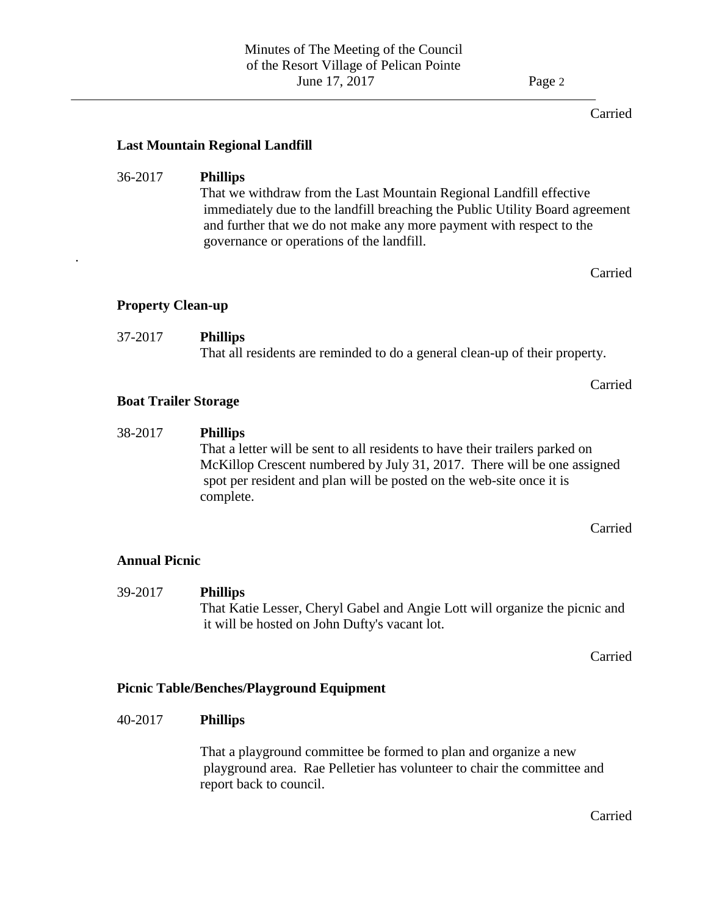#### Carried

### **Last Mountain Regional Landfill**

### 36-2017 **Phillips**

That we withdraw from the Last Mountain Regional Landfill effective immediately due to the landfill breaching the Public Utility Board agreement and further that we do not make any more payment with respect to the governance or operations of the landfill.

Carried

Carried

### **Property Clean-up**

.

# 37-2017 **Phillips** That all residents are reminded to do a general clean-up of their property.

### **Boat Trailer Storage**

## 38-2017 **Phillips**

That a letter will be sent to all residents to have their trailers parked on McKillop Crescent numbered by July 31, 2017. There will be one assigned spot per resident and plan will be posted on the web-site once it is complete.

Carried

### **Annual Picnic**

39-2017 **Phillips** That Katie Lesser, Cheryl Gabel and Angie Lott will organize the picnic and it will be hosted on John Dufty's vacant lot.

Carried

### **Picnic Table/Benches/Playground Equipment**

#### 40-2017 **Phillips**

That a playground committee be formed to plan and organize a new playground area. Rae Pelletier has volunteer to chair the committee and report back to council.

Carried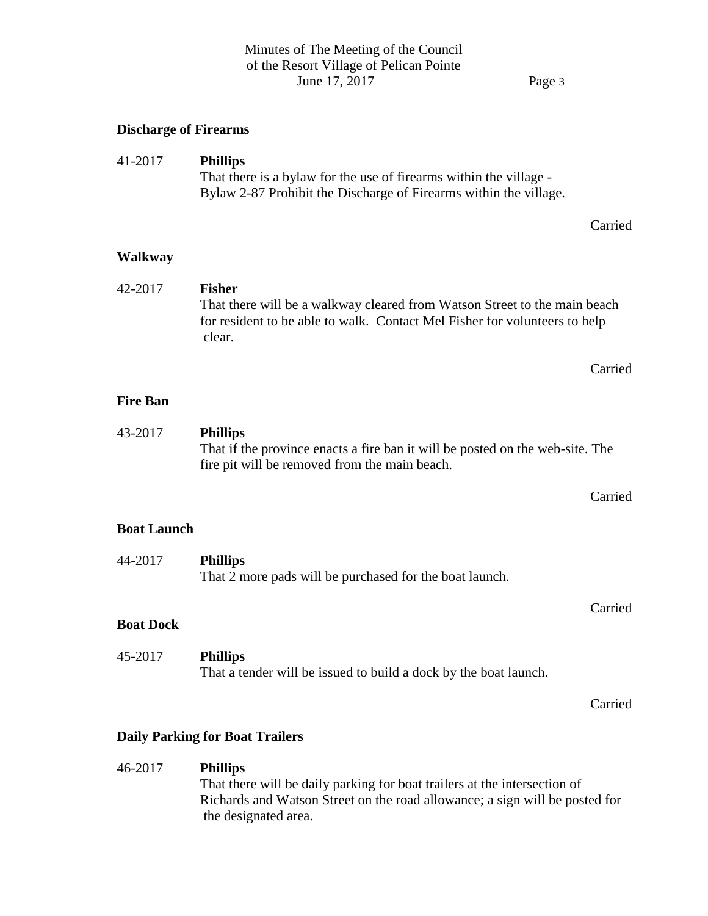#### **Discharge of Firearms**

## 41-2017 **Phillips** That there is a bylaw for the use of firearms within the village - Bylaw 2-87 Prohibit the Discharge of Firearms within the village.

Carried

#### **Walkway**

### 42-2017 **Fisher** That there will be a walkway cleared from Watson Street to the main beach for resident to be able to walk. Contact Mel Fisher for volunteers to help clear.

#### Carried

### **Fire Ban**

#### 43-2017 **Phillips** That if the province enacts a fire ban it will be posted on the web-site. The fire pit will be removed from the main beach.

#### Carried

#### **Boat Launch**

| 44-2017 | <b>Phillips</b>                                         |
|---------|---------------------------------------------------------|
|         | That 2 more pads will be purchased for the boat launch. |

#### **Boat Dock**

#### 45-2017 **Phillips** That a tender will be issued to build a dock by the boat launch.

Carried

Carried

### **Daily Parking for Boat Trailers**

#### 46-2017 **Phillips**

That there will be daily parking for boat trailers at the intersection of Richards and Watson Street on the road allowance; a sign will be posted for the designated area.